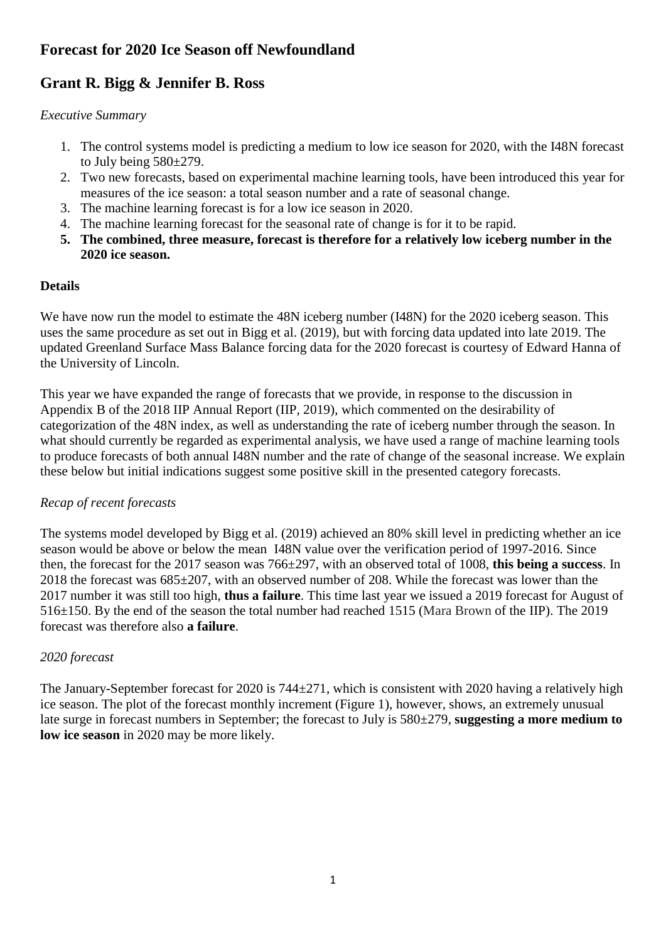# **Forecast for 2020 Ice Season off Newfoundland**

# **Grant R. Bigg & Jennifer B. Ross**

### *Executive Summary*

- 1. The control systems model is predicting a medium to low ice season for 2020, with the I48N forecast to July being 580±279.
- 2. Two new forecasts, based on experimental machine learning tools, have been introduced this year for measures of the ice season: a total season number and a rate of seasonal change.
- 3. The machine learning forecast is for a low ice season in 2020.
- 4. The machine learning forecast for the seasonal rate of change is for it to be rapid.
- **5. The combined, three measure, forecast is therefore for a relatively low iceberg number in the 2020 ice season.**

## **Details**

We have now run the model to estimate the 48N iceberg number (I48N) for the 2020 iceberg season. This uses the same procedure as set out in Bigg et al. (2019), but with forcing data updated into late 2019. The updated Greenland Surface Mass Balance forcing data for the 2020 forecast is courtesy of Edward Hanna of the University of Lincoln.

This year we have expanded the range of forecasts that we provide, in response to the discussion in Appendix B of the 2018 IIP Annual Report (IIP, 2019), which commented on the desirability of categorization of the 48N index, as well as understanding the rate of iceberg number through the season. In what should currently be regarded as experimental analysis, we have used a range of machine learning tools to produce forecasts of both annual I48N number and the rate of change of the seasonal increase. We explain these below but initial indications suggest some positive skill in the presented category forecasts.

## *Recap of recent forecasts*

The systems model developed by Bigg et al. (2019) achieved an 80% skill level in predicting whether an ice season would be above or below the mean I48N value over the verification period of 1997-2016. Since then, the forecast for the 2017 season was 766±297, with an observed total of 1008, **this being a success**. In 2018 the forecast was 685±207, with an observed number of 208. While the forecast was lower than the 2017 number it was still too high, **thus a failure**. This time last year we issued a 2019 forecast for August of 516±150. By the end of the season the total number had reached 1515 (Mara Brown of the IIP). The 2019 forecast was therefore also **a failure**.

## *2020 forecast*

The January-September forecast for 2020 is 744±271, which is consistent with 2020 having a relatively high ice season. The plot of the forecast monthly increment (Figure 1), however, shows, an extremely unusual late surge in forecast numbers in September; the forecast to July is 580±279, **suggesting a more medium to low ice season** in 2020 may be more likely.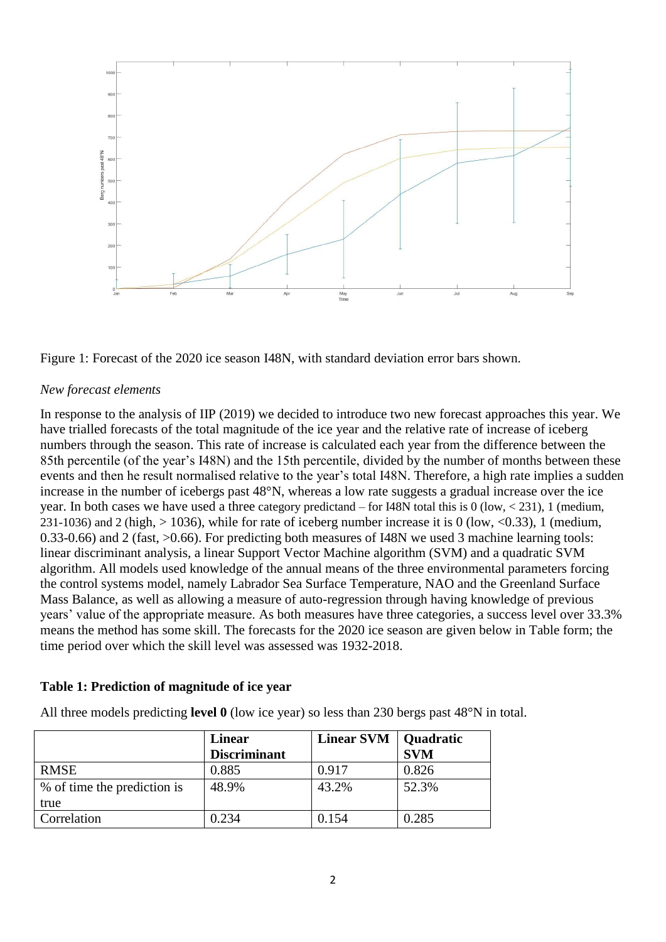

Figure 1: Forecast of the 2020 ice season I48N, with standard deviation error bars shown.

#### *New forecast elements*

In response to the analysis of IIP (2019) we decided to introduce two new forecast approaches this year. We have trialled forecasts of the total magnitude of the ice year and the relative rate of increase of iceberg numbers through the season. This rate of increase is calculated each year from the difference between the 85th percentile (of the year's I48N) and the 15th percentile, divided by the number of months between these events and then he result normalised relative to the year's total I48N. Therefore, a high rate implies a sudden increase in the number of icebergs past 48°N, whereas a low rate suggests a gradual increase over the ice year. In both cases we have used a three category predictand – for I48N total this is 0 (low, < 231), 1 (medium, 231-1036) and 2 (high,  $> 1036$ ), while for rate of iceberg number increase it is 0 (low, <0.33), 1 (medium, 0.33-0.66) and 2 (fast, >0.66). For predicting both measures of I48N we used 3 machine learning tools: linear discriminant analysis, a linear Support Vector Machine algorithm (SVM) and a quadratic SVM algorithm. All models used knowledge of the annual means of the three environmental parameters forcing the control systems model, namely Labrador Sea Surface Temperature, NAO and the Greenland Surface Mass Balance, as well as allowing a measure of auto-regression through having knowledge of previous years' value of the appropriate measure. As both measures have three categories, a success level over 33.3% means the method has some skill. The forecasts for the 2020 ice season are given below in Table form; the time period over which the skill level was assessed was 1932-2018.

#### **Table 1: Prediction of magnitude of ice year**

All three models predicting **level 0** (low ice year) so less than 230 bergs past 48°N in total.

|                             | Linear              | Linear SVM   Quadratic |            |
|-----------------------------|---------------------|------------------------|------------|
|                             | <b>Discriminant</b> |                        | <b>SVM</b> |
| <b>RMSE</b>                 | 0.885               | 0.917                  | 0.826      |
| % of time the prediction is | 48.9%               | 43.2%                  | 52.3%      |
| true                        |                     |                        |            |
| Correlation                 | 0.234               | 0.154                  | 0.285      |